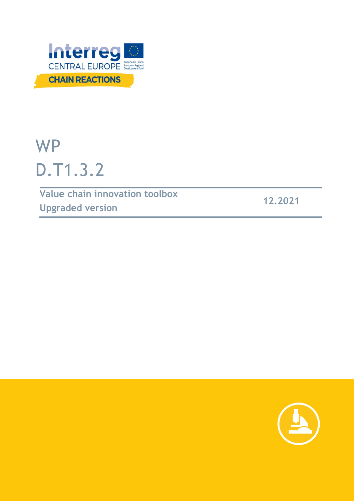

# WP D.T1.3.2

**Value chain innovation toolbox Upgraded version 12.2021**

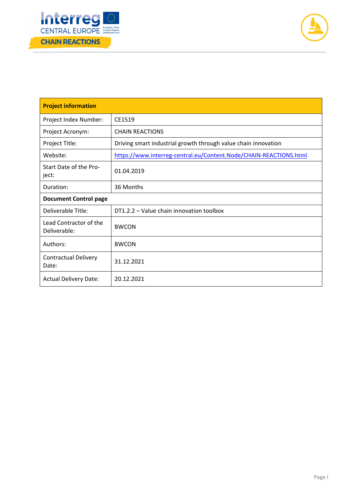



| <b>Project information</b>             |                                                                   |  |
|----------------------------------------|-------------------------------------------------------------------|--|
| Project Index Number:                  | CE1519                                                            |  |
| Project Acronym:                       | <b>CHAIN REACTIONS</b>                                            |  |
| Project Title:                         | Driving smart industrial growth through value chain innovation    |  |
| Website:                               | https://www.interreg-central.eu/Content.Node/CHAIN-REACTIONS.html |  |
| Start Date of the Pro-<br>ject:        | 01.04.2019                                                        |  |
| Duration:                              | 36 Months                                                         |  |
| <b>Document Control page</b>           |                                                                   |  |
| Deliverable Title:                     | DT1.2.2 - Value chain innovation toolbox                          |  |
| Lead Contractor of the<br>Deliverable: | <b>BWCON</b>                                                      |  |
| Authors:                               | <b>BWCON</b>                                                      |  |
| <b>Contractual Delivery</b><br>Date:   | 31.12.2021                                                        |  |
| <b>Actual Delivery Date:</b>           | 20.12.2021                                                        |  |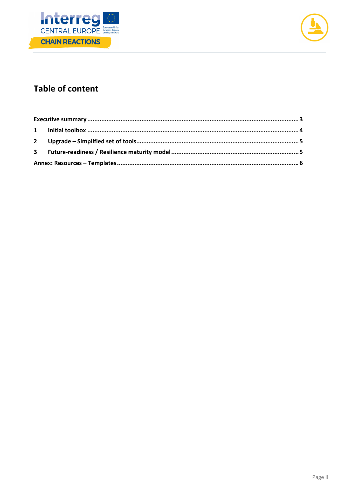



## **Table of content**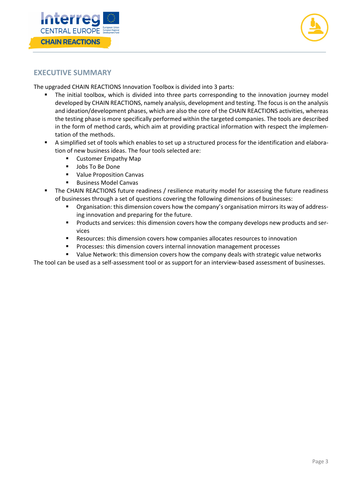



#### **EXECUTIVE SUMMARY**

The upgraded CHAIN REACTIONS Innovation Toolbox is divided into 3 parts:

- The initial toolbox, which is divided into three parts corresponding to the innovation journey model developed by CHAIN REACTIONS, namely analysis, development and testing. The focus is on the analysis and ideation/development phases, which are also the core of the CHAIN REACTIONS activities, whereas the testing phase is more specifically performed within the targeted companies. The tools are described in the form of method cards, which aim at providing practical information with respect the implemen‐ tation of the methods.
- A simplified set of tools which enables to set up a structured process for the identification and elabora‐ tion of new business ideas. The four tools selected are:
	- Customer Empathy Map
	- **Jobs To Be Done**
	- **URICA** Value Proposition Canvas
	- Business Model Canvas
- The CHAIN REACTIONS future readiness / resilience maturity model for assessing the future readiness of businesses through a set of questions covering the following dimensions of businesses:
	- Organisation: this dimension covers how the company's organisation mirrors its way of addressing innovation and preparing for the future.
	- Products and services: this dimension covers how the company develops new products and ser‐ vices
	- Resources: this dimension covers how companies allocates resources to innovation
	- Processes: this dimension covers internal innovation management processes
	- Value Network: this dimension covers how the company deals with strategic value networks

The tool can be used as a self-assessment tool or as support for an interview-based assessment of businesses.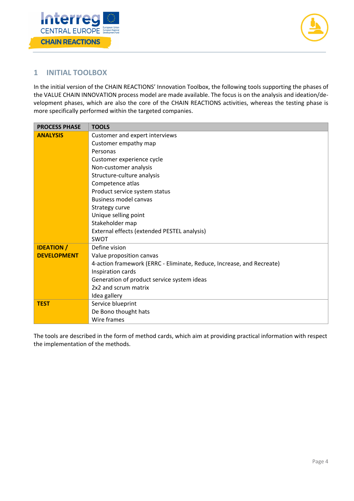



#### **1 INITIAL TOOLBOX**

In the initial version of the CHAIN REACTIONS' Innovation Toolbox, the following tools supporting the phases of the VALUE CHAIN INNOVATION process model are made available. The focus is on the analysis and ideation/de‐ velopment phases, which are also the core of the CHAIN REACTIONS activities, whereas the testing phase is more specifically performed within the targeted companies.

| <b>PROCESS PHASE</b> | <b>TOOLS</b>                                                          |
|----------------------|-----------------------------------------------------------------------|
| <b>ANALYSIS</b>      | Customer and expert interviews                                        |
|                      | Customer empathy map                                                  |
|                      | Personas                                                              |
|                      | Customer experience cycle                                             |
|                      | Non-customer analysis                                                 |
|                      | Structure-culture analysis                                            |
|                      | Competence atlas                                                      |
|                      | Product service system status                                         |
|                      | <b>Business model canvas</b>                                          |
|                      | Strategy curve                                                        |
|                      | Unique selling point                                                  |
|                      | Stakeholder map                                                       |
|                      | External effects (extended PESTEL analysis)                           |
|                      | <b>SWOT</b>                                                           |
| <b>IDEATION /</b>    | Define vision                                                         |
| <b>DEVELOPMENT</b>   | Value proposition canvas                                              |
|                      | 4-action framework (ERRC - Eliminate, Reduce, Increase, and Recreate) |
|                      | Inspiration cards                                                     |
|                      | Generation of product service system ideas                            |
|                      | 2x2 and scrum matrix                                                  |
|                      | Idea gallery                                                          |
| <b>TEST</b>          | Service blueprint                                                     |
|                      | De Bono thought hats                                                  |
|                      | Wire frames                                                           |

The tools are described in the form of method cards, which aim at providing practical information with respect the implementation of the methods.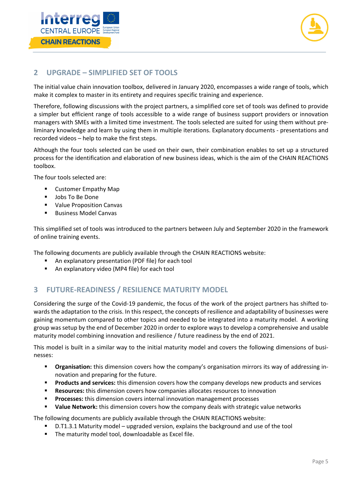



#### **2 UPGRADE – SIMPLIFIED SET OF TOOLS**

The initial value chain innovation toolbox, delivered in January 2020, encompasses a wide range of tools, which make it complex to master in its entirety and requires specific training and experience.

Therefore, following discussions with the project partners, a simplified core set of tools was defined to provide a simpler but efficient range of tools accessible to a wide range of business support providers or innovation managers with SMEs with a limited time investment. The tools selected are suited for using them without pre‐ liminary knowledge and learn by using them in multiple iterations. Explanatory documents ‐ presentations and recorded videos – help to make the first steps.

Although the four tools selected can be used on their own, their combination enables to set up a structured process for the identification and elaboration of new business ideas, which is the aim of the CHAIN REACTIONS toolbox.

The four tools selected are:

- **E** Customer Empathy Map
- **Jobs To Be Done**
- **•** Value Proposition Canvas
- **Business Model Canvas**

This simplified set of tools was introduced to the partners between July and September 2020 in the framework of online training events.

The following documents are publicly available through the CHAIN REACTIONS website:

- An explanatory presentation (PDF file) for each tool
- An explanatory video (MP4 file) for each tool

### **3 FUTURE‐READINESS / RESILIENCE MATURITY MODEL**

Considering the surge of the Covid‐19 pandemic, the focus of the work of the project partners has shifted to‐ wards the adaptation to the crisis. In this respect, the concepts of resilience and adaptability of businesses were gaining momentum compared to other topics and needed to be integrated into a maturity model. A working group was setup by the end of December 2020 in order to explore ways to develop a comprehensive and usable maturity model combining innovation and resilience / future readiness by the end of 2021.

This model is built in a similar way to the initial maturity model and covers the following dimensions of businesses:

- **Proposition:** this dimension covers how the company's organisation mirrors its way of addressing innovation and preparing for the future.
- **Products and services:** this dimension covers how the company develops new products and services
- **Resources:** this dimension covers how companies allocates resources to innovation
- **Processes:** this dimension covers internal innovation management processes
- **Value Network:** this dimension covers how the company deals with strategic value networks

The following documents are publicly available through the CHAIN REACTIONS website:

- D.T1.3.1 Maturity model upgraded version, explains the background and use of the tool
- The maturity model tool, downloadable as Excel file.